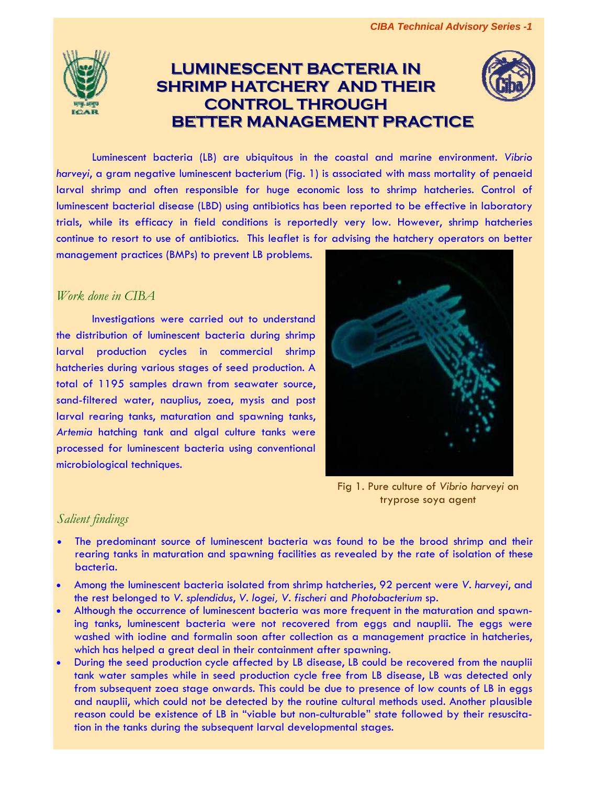

## **LUMINESCENT BACTERIA IN SHRIMP HATCHERY AND THEIR CONTROL THROUGH CONTROL THROUGH BETTER MANAGEMENT PRACTICE BETTER MANAGEMENT PRACTICE**



Luminescent bacteria (LB) are ubiquitous in the coastal and marine environment. *Vibrio harveyi*, a gram negative luminescent bacterium (Fig. 1) is associated with mass mortality of penaeid larval shrimp and often responsible for huge economic loss to shrimp hatcheries. Control of luminescent bacterial disease (LBD) using antibiotics has been reported to be effective in laboratory trials, while its efficacy in field conditions is reportedly very low. However, shrimp hatcheries continue to resort to use of antibiotics. This leaflet is for advising the hatchery operators on better

management practices (BMPs) to prevent LB problems.

## *Work done in CIBA*

Investigations were carried out to understand the distribution of luminescent bacteria during shrimp larval production cycles in commercial shrimp hatcheries during various stages of seed production. A total of 1195 samples drawn from seawater source, sand-filtered water, nauplius, zoea, mysis and post larval rearing tanks, maturation and spawning tanks, *Artemia* hatching tank and algal culture tanks were processed for luminescent bacteria using conventional microbiological techniques.



Fig 1. Pure culture of *Vibrio harveyi* on tryprose soya agent

## *Salient findings*

- The predominant source of luminescent bacteria was found to be the brood shrimp and their rearing tanks in maturation and spawning facilities as revealed by the rate of isolation of these bacteria.
- Among the luminescent bacteria isolated from shrimp hatcheries, 92 percent were *V. harveyi*, and the rest belonged to *V. splendidus*, *V. logei, V. fischeri* and *Photobacterium* sp.
- Although the occurrence of luminescent bacteria was more frequent in the maturation and spawning tanks, luminescent bacteria were not recovered from eggs and nauplii. The eggs were washed with iodine and formalin soon after collection as a management practice in hatcheries, which has helped a great deal in their containment after spawning.
- During the seed production cycle affected by LB disease, LB could be recovered from the nauplii tank water samples while in seed production cycle free from LB disease, LB was detected only from subsequent zoea stage onwards. This could be due to presence of low counts of LB in eggs and nauplii, which could not be detected by the routine cultural methods used. Another plausible reason could be existence of LB in "viable but non-culturable" state followed by their resuscitation in the tanks during the subsequent larval developmental stages.